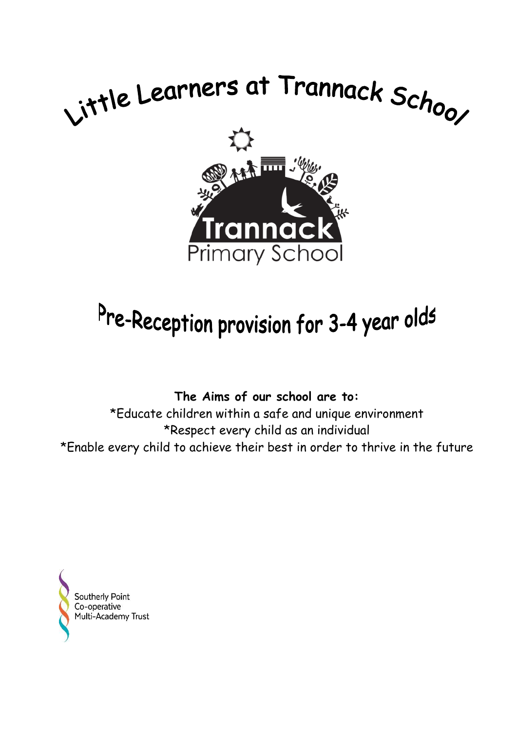

# Pre-Reception provision for 3-4 year olds

**The Aims of our school are to:**

\*Educate children within a safe and unique environment \*Respect every child as an individual \*Enable every child to achieve their best in order to thrive in the future

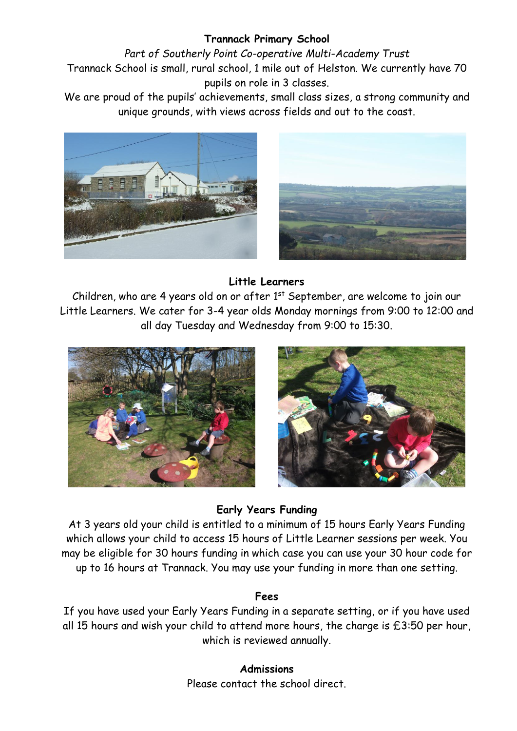## **Trannack Primary School**

*Part of Southerly Point Co-operative Multi-Academy Trust* Trannack School is small, rural school, 1 mile out of Helston. We currently have 70 pupils on role in 3 classes.

We are proud of the pupils' achievements, small class sizes, a strong community and unique grounds, with views across fields and out to the coast.





## **Little Learners**

Children, who are 4 years old on or after  $1<sup>st</sup>$  September, are welcome to join our Little Learners. We cater for 3-4 year olds Monday mornings from 9:00 to 12:00 and all day Tuesday and Wednesday from 9:00 to 15:30.





## **Early Years Funding**

At 3 years old your child is entitled to a minimum of 15 hours Early Years Funding which allows your child to access 15 hours of Little Learner sessions per week. You may be eligible for 30 hours funding in which case you can use your 30 hour code for up to 16 hours at Trannack. You may use your funding in more than one setting.

## **Fees**

If you have used your Early Years Funding in a separate setting, or if you have used all 15 hours and wish your child to attend more hours, the charge is £3:50 per hour, which is reviewed annually.

> **Admissions** Please contact the school direct.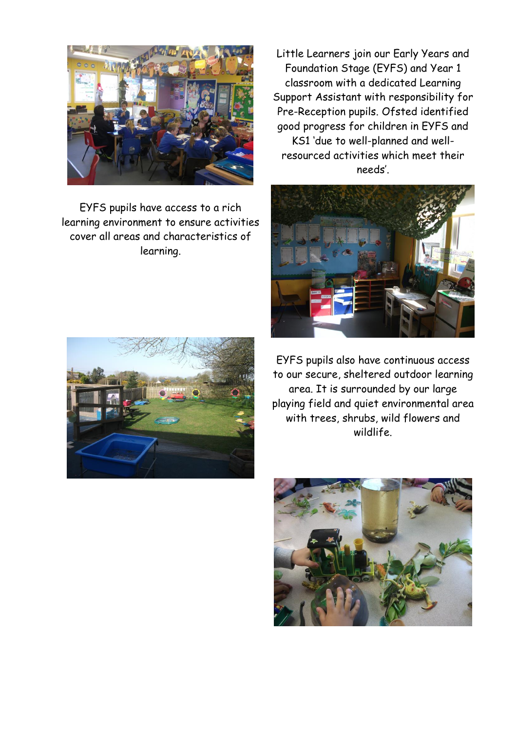

EYFS pupils have access to a rich learning environment to ensure activities cover all areas and characteristics of learning.



Little Learners join our Early Years and Foundation Stage (EYFS) and Year 1 classroom with a dedicated Learning Support Assistant with responsibility for Pre-Reception pupils. Ofsted identified good progress for children in EYFS and KS1 'due to well-planned and wellresourced activities which meet their needs'.



EYFS pupils also have continuous access to our secure, sheltered outdoor learning area. It is surrounded by our large playing field and quiet environmental area with trees, shrubs, wild flowers and wildlife.

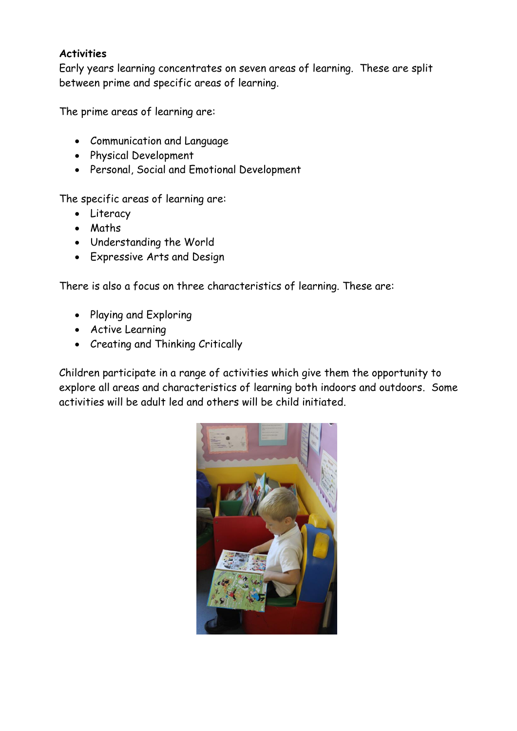## **Activities**

Early years learning concentrates on seven areas of learning. These are split between prime and specific areas of learning.

The prime areas of learning are:

- Communication and Language
- Physical Development
- Personal, Social and Emotional Development

The specific areas of learning are:

- Literacy
- Maths
- Understanding the World
- Expressive Arts and Design

There is also a focus on three characteristics of learning. These are:

- Playing and Exploring
- Active Learning
- Creating and Thinking Critically

Children participate in a range of activities which give them the opportunity to explore all areas and characteristics of learning both indoors and outdoors. Some activities will be adult led and others will be child initiated.

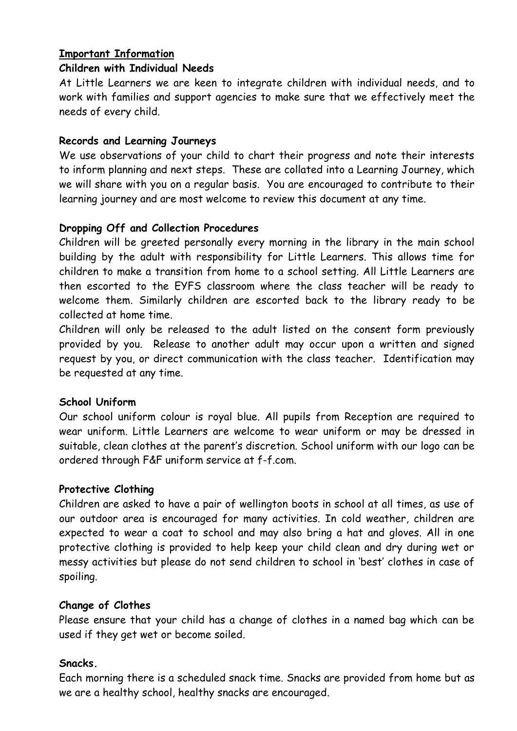## **Important Information**

#### **Children with Individual Needs**

At Little Learners we are keen to integrate children with individual needs, and to work with families and support agencies to make sure that we effectively meet the needs of every child.

## **Records and Learning Journeys**

We use observations of your child to chart their progress and note their interests to inform planning and next steps. These are collated into a Learning Journey, which we will share with you on a regular basis. You are encouraged to contribute to their learning journey and are most welcome to review this document at any time.

## **Dropping Off and Collection Procedures**

Children will be greeted personally every morning in the library in the main school building by the adult with responsibility for Little Learners. This allows time for children to make a transition from home to a school setting. All Little Learners are then escorted to the EYFS classroom where the class teacher will be ready to welcome them. Similarly children are escorted back to the library ready to be collected at home time.

Children will only be released to the adult listed on the consent form previously provided by you. Release to another adult may occur upon a written and signed request by you, or direct communication with the class teacher. Identification may be requested at any time.

## **School Uniform**

Our school uniform colour is royal blue. All pupils from Reception are required to wear uniform. Little Learners are welcome to wear uniform or may be dressed in suitable, clean clothes at the parent's discretion. School uniform with our logo can be ordered through F&F uniform service at f-f.com.

## **Protective Clothing**

Children are asked to have a pair of wellington boots in school at all times, as use of our outdoor area is encouraged for many activities. In cold weather, children are expected to wear a coat to school and may also bring a hat and gloves. All in one protective clothing is provided to help keep your child clean and dry during wet or messy activities but please do not send children to school in 'best' clothes in case of spoiling.

## **Change of Clothes**

Please ensure that your child has a change of clothes in a named bag which can be used if they get wet or become soiled.

## **Snacks.**

Each morning there is a scheduled snack time. Snacks are provided from home but as we are a healthy school, healthy snacks are encouraged.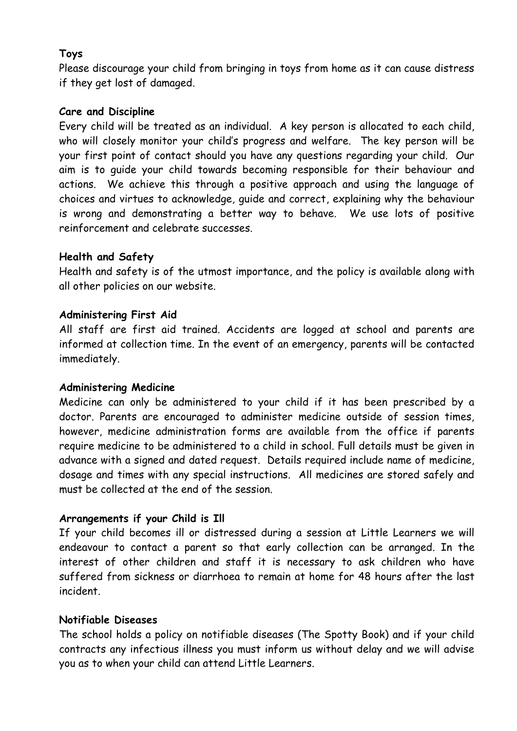## **Toys**

Please discourage your child from bringing in toys from home as it can cause distress if they get lost of damaged.

## **Care and Discipline**

Every child will be treated as an individual. A key person is allocated to each child, who will closely monitor your child's progress and welfare. The key person will be your first point of contact should you have any questions regarding your child. Our aim is to guide your child towards becoming responsible for their behaviour and actions. We achieve this through a positive approach and using the language of choices and virtues to acknowledge, guide and correct, explaining why the behaviour is wrong and demonstrating a better way to behave. We use lots of positive reinforcement and celebrate successes.

## **Health and Safety**

Health and safety is of the utmost importance, and the policy is available along with all other policies on our website.

## **Administering First Aid**

All staff are first aid trained. Accidents are logged at school and parents are informed at collection time. In the event of an emergency, parents will be contacted immediately.

## **Administering Medicine**

Medicine can only be administered to your child if it has been prescribed by a doctor. Parents are encouraged to administer medicine outside of session times, however, medicine administration forms are available from the office if parents require medicine to be administered to a child in school. Full details must be given in advance with a signed and dated request. Details required include name of medicine, dosage and times with any special instructions. All medicines are stored safely and must be collected at the end of the session.

## **Arrangements if your Child is Ill**

If your child becomes ill or distressed during a session at Little Learners we will endeavour to contact a parent so that early collection can be arranged. In the interest of other children and staff it is necessary to ask children who have suffered from sickness or diarrhoea to remain at home for 48 hours after the last incident.

## **Notifiable Diseases**

The school holds a policy on notifiable diseases (The Spotty Book) and if your child contracts any infectious illness you must inform us without delay and we will advise you as to when your child can attend Little Learners.